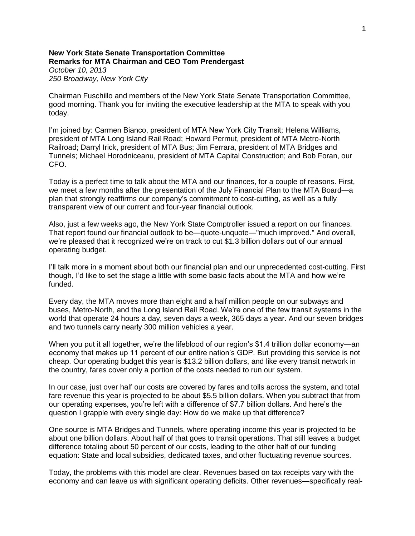## **New York State Senate Transportation Committee Remarks for MTA Chairman and CEO Tom Prendergast** *October 10, 2013*

*250 Broadway, New York City*

Chairman Fuschillo and members of the New York State Senate Transportation Committee, good morning. Thank you for inviting the executive leadership at the MTA to speak with you today.

I'm joined by: Carmen Bianco, president of MTA New York City Transit; Helena Williams, president of MTA Long Island Rail Road; Howard Permut, president of MTA Metro-North Railroad; Darryl Irick, president of MTA Bus; Jim Ferrara, president of MTA Bridges and Tunnels; Michael Horodniceanu, president of MTA Capital Construction; and Bob Foran, our CFO.

Today is a perfect time to talk about the MTA and our finances, for a couple of reasons. First, we meet a few months after the presentation of the July Financial Plan to the MTA Board—a plan that strongly reaffirms our company's commitment to cost-cutting, as well as a fully transparent view of our current and four-year financial outlook.

Also, just a few weeks ago, the New York State Comptroller issued a report on our finances. That report found our financial outlook to be—quote-unquote—"much improved." And overall, we're pleased that it recognized we're on track to cut \$1.3 billion dollars out of our annual operating budget.

I'll talk more in a moment about both our financial plan and our unprecedented cost-cutting. First though, I'd like to set the stage a little with some basic facts about the MTA and how we're funded.

Every day, the MTA moves more than eight and a half million people on our subways and buses, Metro-North, and the Long Island Rail Road. We're one of the few transit systems in the world that operate 24 hours a day, seven days a week, 365 days a year. And our seven bridges and two tunnels carry nearly 300 million vehicles a year.

When you put it all together, we're the lifeblood of our region's \$1.4 trillion dollar economy—an economy that makes up 11 percent of our entire nation's GDP. But providing this service is not cheap. Our operating budget this year is \$13.2 billion dollars, and like every transit network in the country, fares cover only a portion of the costs needed to run our system.

In our case, just over half our costs are covered by fares and tolls across the system, and total fare revenue this year is projected to be about \$5.5 billion dollars. When you subtract that from our operating expenses, you're left with a difference of \$7.7 billion dollars. And here's the question I grapple with every single day: How do we make up that difference?

One source is MTA Bridges and Tunnels, where operating income this year is projected to be about one billion dollars. About half of that goes to transit operations. That still leaves a budget difference totaling about 50 percent of our costs, leading to the other half of our funding equation: State and local subsidies, dedicated taxes, and other fluctuating revenue sources.

Today, the problems with this model are clear. Revenues based on tax receipts vary with the economy and can leave us with significant operating deficits. Other revenues—specifically real-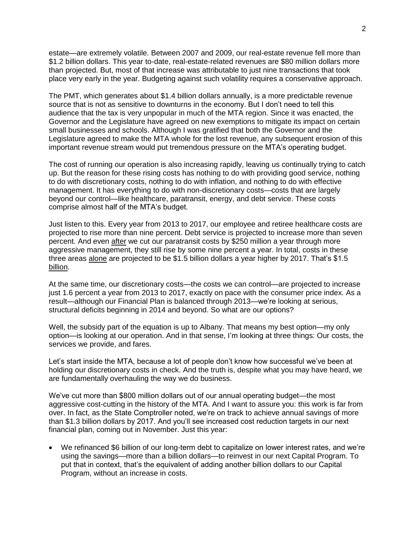estate—are extremely volatile. Between 2007 and 2009, our real-estate revenue fell more than \$1.2 billion dollars. This year to-date, real-estate-related revenues are \$80 million dollars more than projected. But, most of that increase was attributable to just nine transactions that took place very early in the year. Budgeting against such volatility requires a conservative approach.

The PMT, which generates about \$1.4 billion dollars annually, is a more predictable revenue source that is not as sensitive to downturns in the economy. But I don't need to tell this audience that the tax is very unpopular in much of the MTA region. Since it was enacted, the Governor and the Legislature have agreed on new exemptions to mitigate its impact on certain small businesses and schools. Although I was gratified that both the Governor and the Legislature agreed to make the MTA whole for the lost revenue, any subsequent erosion of this important revenue stream would put tremendous pressure on the MTA's operating budget.

The cost of running our operation is also increasing rapidly, leaving us continually trying to catch up. But the reason for these rising costs has nothing to do with providing good service, nothing to do with discretionary costs, nothing to do with inflation, and nothing to do with effective management. It has everything to do with non-discretionary costs—costs that are largely beyond our control—like healthcare, paratransit, energy, and debt service. These costs comprise almost half of the MTA's budget.

Just listen to this. Every year from 2013 to 2017, our employee and retiree healthcare costs are projected to rise more than nine percent. Debt service is projected to increase more than seven percent. And even after we cut our paratransit costs by \$250 million a year through more aggressive management, they still rise by some nine percent a year. In total, costs in these three areas alone are projected to be \$1.5 billion dollars a year higher by 2017. That's \$1.5 billion.

At the same time, our discretionary costs—the costs we can control—are projected to increase just 1.6 percent a year from 2013 to 2017, exactly on pace with the consumer price index. As a result—although our Financial Plan is balanced through 2013—we're looking at serious, structural deficits beginning in 2014 and beyond. So what are our options?

Well, the subsidy part of the equation is up to Albany. That means my best option—my only option—is looking at our operation. And in that sense, I'm looking at three things: Our costs, the services we provide, and fares.

Let's start inside the MTA, because a lot of people don't know how successful we've been at holding our discretionary costs in check. And the truth is, despite what you may have heard, we are fundamentally overhauling the way we do business.

We've cut more than \$800 million dollars out of our annual operating budget—the most aggressive cost-cutting in the history of the MTA. And I want to assure you: this work is far from over. In fact, as the State Comptroller noted, we're on track to achieve annual savings of more than \$1.3 billion dollars by 2017. And you'll see increased cost reduction targets in our next financial plan, coming out in November. Just this year:

 We refinanced \$6 billion of our long-term debt to capitalize on lower interest rates, and we're using the savings—more than a billion dollars—to reinvest in our next Capital Program. To put that in context, that's the equivalent of adding another billion dollars to our Capital Program, without an increase in costs.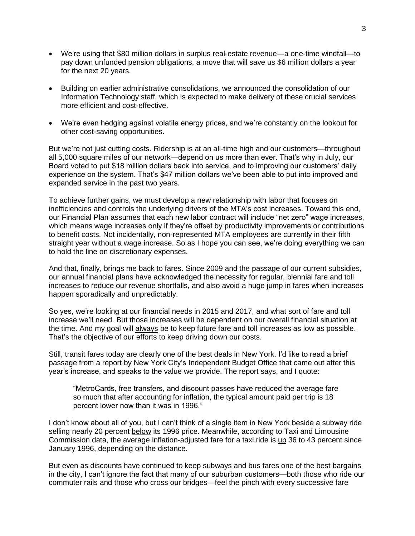- We're using that \$80 million dollars in surplus real-estate revenue—a one-time windfall—to pay down unfunded pension obligations, a move that will save us \$6 million dollars a year for the next 20 years.
- Building on earlier administrative consolidations, we announced the consolidation of our Information Technology staff, which is expected to make delivery of these crucial services more efficient and cost-effective.
- We're even hedging against volatile energy prices, and we're constantly on the lookout for other cost-saving opportunities.

But we're not just cutting costs. Ridership is at an all-time high and our customers—throughout all 5,000 square miles of our network—depend on us more than ever. That's why in July, our Board voted to put \$18 million dollars back into service, and to improving our customers' daily experience on the system. That's \$47 million dollars we've been able to put into improved and expanded service in the past two years.

To achieve further gains, we must develop a new relationship with labor that focuses on inefficiencies and controls the underlying drivers of the MTA's cost increases. Toward this end, our Financial Plan assumes that each new labor contract will include "net zero" wage increases, which means wage increases only if they're offset by productivity improvements or contributions to benefit costs. Not incidentally, non-represented MTA employees are currently in their fifth straight year without a wage increase. So as I hope you can see, we're doing everything we can to hold the line on discretionary expenses.

And that, finally, brings me back to fares. Since 2009 and the passage of our current subsidies, our annual financial plans have acknowledged the necessity for regular, biennial fare and toll increases to reduce our revenue shortfalls, and also avoid a huge jump in fares when increases happen sporadically and unpredictably.

So yes, we're looking at our financial needs in 2015 and 2017, and what sort of fare and toll increase we'll need. But those increases will be dependent on our overall financial situation at the time. And my goal will always be to keep future fare and toll increases as low as possible. That's the objective of our efforts to keep driving down our costs.

Still, transit fares today are clearly one of the best deals in New York. I'd like to read a brief passage from a report by New York City's Independent Budget Office that came out after this year's increase, and speaks to the value we provide. The report says, and I quote:

"MetroCards, free transfers, and discount passes have reduced the average fare so much that after accounting for inflation, the typical amount paid per trip is 18 percent lower now than it was in 1996."

I don't know about all of you, but I can't think of a single item in New York beside a subway ride selling nearly 20 percent below its 1996 price. Meanwhile, according to Taxi and Limousine Commission data, the average inflation-adjusted fare for a taxi ride is up 36 to 43 percent since January 1996, depending on the distance.

But even as discounts have continued to keep subways and bus fares one of the best bargains in the city, I can't ignore the fact that many of our suburban customers—both those who ride our commuter rails and those who cross our bridges—feel the pinch with every successive fare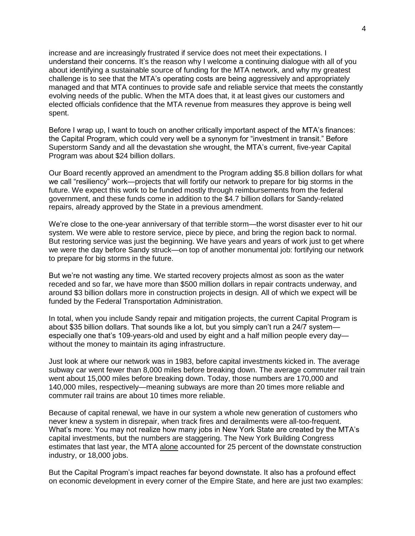increase and are increasingly frustrated if service does not meet their expectations. I understand their concerns. It's the reason why I welcome a continuing dialogue with all of you about identifying a sustainable source of funding for the MTA network, and why my greatest challenge is to see that the MTA's operating costs are being aggressively and appropriately managed and that MTA continues to provide safe and reliable service that meets the constantly evolving needs of the public. When the MTA does that, it at least gives our customers and elected officials confidence that the MTA revenue from measures they approve is being well spent.

Before I wrap up, I want to touch on another critically important aspect of the MTA's finances: the Capital Program, which could very well be a synonym for "investment in transit." Before Superstorm Sandy and all the devastation she wrought, the MTA's current, five-year Capital Program was about \$24 billion dollars.

Our Board recently approved an amendment to the Program adding \$5.8 billion dollars for what we call "resiliency" work—projects that will fortify our network to prepare for big storms in the future. We expect this work to be funded mostly through reimbursements from the federal government, and these funds come in addition to the \$4.7 billion dollars for Sandy-related repairs, already approved by the State in a previous amendment.

We're close to the one-year anniversary of that terrible storm—the worst disaster ever to hit our system. We were able to restore service, piece by piece, and bring the region back to normal. But restoring service was just the beginning. We have years and years of work just to get where we were the day before Sandy struck—on top of another monumental job: fortifying our network to prepare for big storms in the future.

But we're not wasting any time. We started recovery projects almost as soon as the water receded and so far, we have more than \$500 million dollars in repair contracts underway, and around \$3 billion dollars more in construction projects in design. All of which we expect will be funded by the Federal Transportation Administration.

In total, when you include Sandy repair and mitigation projects, the current Capital Program is about \$35 billion dollars. That sounds like a lot, but you simply can't run a 24/7 system especially one that's 109-years-old and used by eight and a half million people every day without the money to maintain its aging infrastructure.

Just look at where our network was in 1983, before capital investments kicked in. The average subway car went fewer than 8,000 miles before breaking down. The average commuter rail train went about 15,000 miles before breaking down. Today, those numbers are 170,000 and 140,000 miles, respectively—meaning subways are more than 20 times more reliable and commuter rail trains are about 10 times more reliable.

Because of capital renewal, we have in our system a whole new generation of customers who never knew a system in disrepair, when track fires and derailments were all-too-frequent. What's more: You may not realize how many jobs in New York State are created by the MTA's capital investments, but the numbers are staggering. The New York Building Congress estimates that last year, the MTA alone accounted for 25 percent of the downstate construction industry, or 18,000 jobs.

But the Capital Program's impact reaches far beyond downstate. It also has a profound effect on economic development in every corner of the Empire State, and here are just two examples: